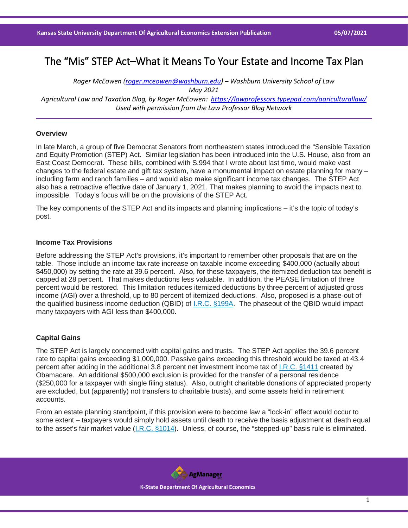# The "Mis" STEP Act–What it Means To Your Estate and Income Tax Plan

*Roger McEowen [\(roger.mceowen@washburn.edu\)](mailto:roger.mceowen@washburn.edu) – Washburn University School of Law May 2021 Agricultural Law and Taxation Blog, by Roger McEowen:<https://lawprofessors.typepad.com/agriculturallaw/> Used with permission from the Law Professor Blog Network*

## **Overview**

In late March, a group of five Democrat Senators from northeastern states introduced the "Sensible Taxation and Equity Promotion (STEP) Act. Similar legislation has been introduced into the U.S. House, also from an East Coast Democrat. These bills, combined with S.994 that I wrote about last time, would make vast changes to the federal estate and gift tax system, have a monumental impact on estate planning for many – including farm and ranch families – and would also make significant income tax changes. The STEP Act also has a retroactive effective date of January 1, 2021. That makes planning to avoid the impacts next to impossible. Today's focus will be on the provisions of the STEP Act.

The key components of the STEP Act and its impacts and planning implications – it's the topic of today's post.

#### **Income Tax Provisions**

Before addressing the STEP Act's provisions, it's important to remember other proposals that are on the table. Those include an income tax rate increase on taxable income exceeding \$400,000 (actually about \$450,000) by setting the rate at 39.6 percent. Also, for these taxpayers, the itemized deduction tax benefit is capped at 28 percent. That makes deductions less valuable. In addition, the PEASE limitation of three percent would be restored. This limitation reduces itemized deductions by three percent of adjusted gross income (AGI) over a threshold, up to 80 percent of itemized deductions. Also, proposed is a phase-out of the qualified business income deduction (QBID) of [I.R.C. §199A.](https://casetext.com/statute/united-states-code/title-26-internal-revenue-code/subtitle-a-income-taxes/chapter-1-normal-taxes-and-surtaxes/subchapter-b-computation-of-taxable-income/part-vi-itemized-deductions-for-individuals-and-corporations/section-199a-qualified-business-income?ref=ArRBZs!_T71E8) The phaseout of the QBID would impact many taxpayers with AGI less than \$400,000.

## **Capital Gains**

The STEP Act is largely concerned with capital gains and trusts. The STEP Act applies the 39.6 percent rate to capital gains exceeding \$1,000,000. Passive gains exceeding this threshold would be taxed at 43.4 percent after adding in the additional 3.8 percent net investment income tax of [I.R.C. §1411](https://casetext.com/statute/united-states-code/title-26-internal-revenue-code/subtitle-a-income-taxes/chapter-2a-unearned-income-medicare-contribution/section-1411-imposition-of-tax?ref=ArRBZs!2w1yws) created by Obamacare. An additional \$500,000 exclusion is provided for the transfer of a personal residence (\$250,000 for a taxpayer with single filing status). Also, outright charitable donations of appreciated property are excluded, but (apparently) not transfers to charitable trusts), and some assets held in retirement accounts.

From an estate planning standpoint, if this provision were to become law a "lock-in" effect would occur to some extent – taxpayers would simply hold assets until death to receive the basis adjustment at death equal to the asset's fair market value [\(I.R.C. §1014\)](https://casetext.com/statute/united-states-code/title-26-internal-revenue-code/subtitle-a-income-taxes/chapter-1-normal-taxes-and-surtaxes/subchapter-o-gain-or-loss-on-disposition-of-property/part-ii-basis-rules-of-general-application/section-1014-basis-of-property-acquired-from-a-decedent?ref=ArRBZs!dnpmbZ). Unless, of course, the "stepped-up" basis rule is eliminated.

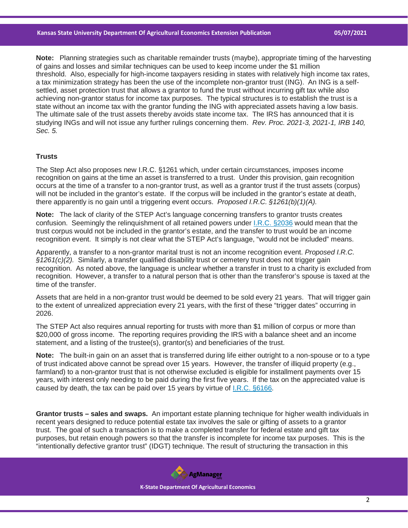**Note:** Planning strategies such as charitable remainder trusts (maybe), appropriate timing of the harvesting of gains and losses and similar techniques can be used to keep income under the \$1 million threshold. Also, especially for high-income taxpayers residing in states with relatively high income tax rates, a tax minimization strategy has been the use of the incomplete non-grantor trust (ING). An ING is a selfsettled, asset protection trust that allows a grantor to fund the trust without incurring gift tax while also achieving non-grantor status for income tax purposes. The typical structures is to establish the trust is a state without an income tax with the grantor funding the ING with appreciated assets having a low basis. The ultimate sale of the trust assets thereby avoids state income tax. The IRS has announced that it is studying INGs and will not issue any further rulings concerning them. *Rev. Proc. 2021-3, 2021-1, IRB 140, Sec. 5.*

### **Trusts**

The Step Act also proposes new I.R.C. §1261 which, under certain circumstances, imposes income recognition on gains at the time an asset is transferred to a trust. Under this provision, gain recognition occurs at the time of a transfer to a non-grantor trust, as well as a grantor trust if the trust assets (corpus) will not be included in the grantor's estate. If the corpus will be included in the grantor's estate at death, there apparently is no gain until a triggering event occurs. *Proposed I.R.C. §1261(b)(1)(A).*

**Note:** The lack of clarity of the STEP Act's language concerning transfers to grantor trusts creates confusion. Seemingly the relinquishment of all retained powers under [I.R.C. §2036](https://casetext.com/statute/united-states-code/title-26-internal-revenue-code/subtitle-b-estate-and-gift-taxes/chapter-11-estate-tax/subchapter-a-estates-of-citizens-or-residents/part-iii-gross-estate/section-2036-transfers-with-retained-life-estate?ref=ArRBZs!9a2Nzp) would mean that the trust corpus would not be included in the grantor's estate, and the transfer to trust would be an income recognition event. It simply is not clear what the STEP Act's language, "would not be included" means.

Apparently, a transfer to a non-grantor marital trust is not an income recognition event. *Proposed I.R.C. §1261(c)(2).* Similarly, a transfer qualified disability trust or cemetery trust does not trigger gain recognition. As noted above, the language is unclear whether a transfer in trust to a charity is excluded from recognition. However, a transfer to a natural person that is other than the transferor's spouse is taxed at the time of the transfer.

Assets that are held in a non-grantor trust would be deemed to be sold every 21 years. That will trigger gain to the extent of unrealized appreciation every 21 years, with the first of these "trigger dates" occurring in 2026.

The STEP Act also requires annual reporting for trusts with more than \$1 million of corpus or more than \$20,000 of gross income. The reporting requires providing the IRS with a balance sheet and an income statement, and a listing of the trustee(s), grantor(s) and beneficiaries of the trust.

**Note:** The built-in gain on an asset that is transferred during life either outright to a non-spouse or to a type of trust indicated above cannot be spread over 15 years. However, the transfer of illiquid property (e.g., farmland) to a non-grantor trust that is not otherwise excluded is eligible for installment payments over 15 years, with interest only needing to be paid during the first five years. If the tax on the appreciated value is caused by death, the tax can be paid over 15 years by virtue of [I.R.C. §6166.](https://casetext.com/statute/united-states-code/title-26-internal-revenue-code/subtitle-f-procedure-and-administration/chapter-62-time-and-place-for-paying-tax/subchapter-b-extensions-of-time-for-payment/section-6166-extension-of-time-for-payment-of-estate-tax-where-estate-consists-largely-of-interest-in-closely-held-business?ref=ArRBZs!375AQT)

**Grantor trusts – sales and swaps.** An important estate planning technique for higher wealth individuals in recent years designed to reduce potential estate tax involves the sale or gifting of assets to a grantor trust. The goal of such a transaction is to make a completed transfer for federal estate and gift tax purposes, but retain enough powers so that the transfer is incomplete for income tax purposes. This is the "intentionally defective grantor trust" (IDGT) technique. The result of structuring the transaction in this

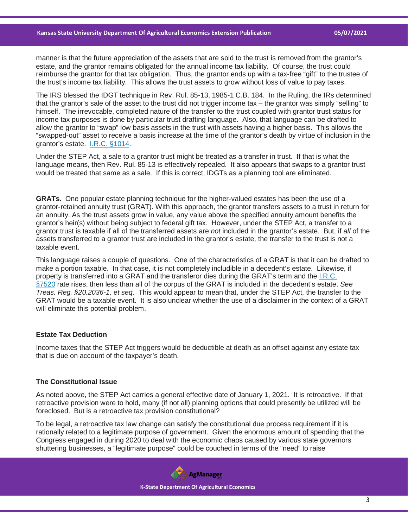#### **Kansas State University Department Of Agricultural Economics Extension Publication 05/07/2021**

manner is that the future appreciation of the assets that are sold to the trust is removed from the grantor's estate, and the grantor remains obligated for the annual income tax liability. Of course, the trust could reimburse the grantor for that tax obligation. Thus, the grantor ends up with a tax-free "gift" to the trustee of the trust's income tax liability. This allows the trust assets to grow without loss of value to pay taxes.

The IRS blessed the IDGT technique in Rev. Rul. 85-13, 1985-1 C.B. 184. In the Ruling, the IRs determined that the grantor's sale of the asset to the trust did not trigger income tax – the grantor was simply "selling" to himself. The irrevocable, completed nature of the transfer to the trust coupled with grantor trust status for income tax purposes is done by particular trust drafting language. Also, that language can be drafted to allow the grantor to "swap" low basis assets in the trust with assets having a higher basis. This allows the "swapped-out" asset to receive a basis increase at the time of the grantor's death by virtue of inclusion in the grantor's estate. [I.R.C. §1014.](https://casetext.com/statute/united-states-code/title-26-internal-revenue-code/subtitle-a-income-taxes/chapter-1-normal-taxes-and-surtaxes/subchapter-o-gain-or-loss-on-disposition-of-property/part-ii-basis-rules-of-general-application/section-1014-basis-of-property-acquired-from-a-decedent?ref=ArRBZs!dnpmbZ)

Under the STEP Act, a sale to a grantor trust might be treated as a transfer in trust. If that is what the language means, then Rev. Rul. 85-13 is effectively repealed. It also appears that swaps to a grantor trust would be treated that same as a sale. If this is correct, IDGTs as a planning tool are eliminated.

**GRATs.** One popular estate planning technique for the higher-valued estates has been the use of a grantor-retained annuity trust (GRAT). With this approach, the grantor transfers assets to a trust in return for an annuity. As the trust assets grow in value, any value above the specified annuity amount benefits the grantor's heir(s) without being subject to federal gift tax. However, under the STEP Act, a transfer to a grantor trust is taxable if all of the transferred assets are *not* included in the grantor's estate. But, if *all* of the assets transferred to a grantor trust are included in the grantor's estate, the transfer to the trust is not a taxable event.

This language raises a couple of questions. One of the characteristics of a GRAT is that it can be drafted to make a portion taxable. In that case, it is not completely includible in a decedent's estate. Likewise, if property is transferred into a GRAT and the transferor dies during the GRAT's term and the [I.R.C.](https://casetext.com/statute/united-states-code/title-26-internal-revenue-code/subtitle-f-procedure-and-administration/chapter-77-miscellaneous-provisions/section-7520-valuation-tables?ref=ArRBZs!y3B-bm)  [§7520](https://casetext.com/statute/united-states-code/title-26-internal-revenue-code/subtitle-f-procedure-and-administration/chapter-77-miscellaneous-provisions/section-7520-valuation-tables?ref=ArRBZs!y3B-bm) rate rises, then less than all of the corpus of the GRAT is included in the decedent's estate. *See Treas. Reg. §20.2036-1, et seq.* This would appear to mean that, under the STEP Act, the transfer to the GRAT would be a taxable event. It is also unclear whether the use of a disclaimer in the context of a GRAT will eliminate this potential problem.

#### **Estate Tax Deduction**

Income taxes that the STEP Act triggers would be deductible at death as an offset against any estate tax that is due on account of the taxpayer's death.

## **The Constitutional Issue**

As noted above, the STEP Act carries a general effective date of January 1, 2021. It is retroactive. If that retroactive provision were to hold, many (if not all) planning options that could presently be utilized will be foreclosed. But is a retroactive tax provision constitutional?

To be legal, a retroactive tax law change can satisfy the constitutional due process requirement if it is rationally related to a legitimate purpose of government. Given the enormous amount of spending that the Congress engaged in during 2020 to deal with the economic chaos caused by various state governors shuttering businesses, a "legitimate purpose" could be couched in terms of the "need" to raise

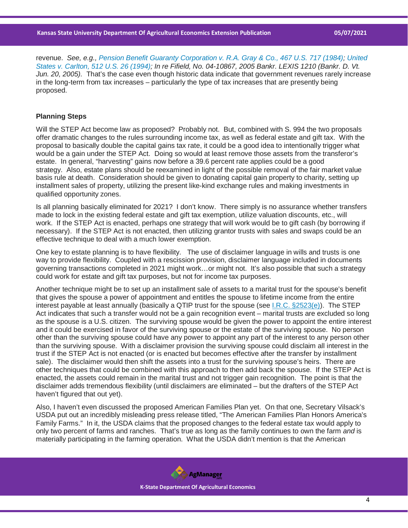revenue. *See, e.g., [Pension Benefit Guaranty Corporation v. R.A. Gray & Co., 467 U.S. 717 \(1984\);](https://casetext.com/case/pension-benefit-guaranty-corp-v-r-a-gray-co?ref=ArRBZs!xGHnQw) [United](https://casetext.com/case/united-states-v-carlton?ref=ArRBZs!HnNqUa)  [States v. Carlton, 512 U.S. 26 \(1994\);](https://casetext.com/case/united-states-v-carlton?ref=ArRBZs!HnNqUa) In re Fifield, No. 04-10867, 2005 Bankr. LEXIS 1210 (Bankr. D. Vt. Jun. 20, 2005).* That's the case even though historic data indicate that government revenues rarely increase in the long-term from tax increases – particularly the type of tax increases that are presently being proposed.

#### **Planning Steps**

Will the STEP Act become law as proposed? Probably not. But, combined with S. 994 the two proposals offer dramatic changes to the rules surrounding income tax, as well as federal estate and gift tax. With the proposal to basically double the capital gains tax rate, it could be a good idea to intentionally trigger what would be a gain under the STEP Act. Doing so would at least remove those assets from the transferor's estate. In general, "harvesting" gains now before a 39.6 percent rate applies could be a good strategy. Also, estate plans should be reexamined in light of the possible removal of the fair market value basis rule at death. Consideration should be given to donating capital gain property to charity, setting up installment sales of property, utilizing the present like-kind exchange rules and making investments in qualified opportunity zones.

Is all planning basically eliminated for 2021? I don't know. There simply is no assurance whether transfers made to lock in the existing federal estate and gift tax exemption, utilize valuation discounts, etc., will work. If the STEP Act is enacted, perhaps one strategy that will work would be to gift cash (by borrowing if necessary). If the STEP Act is not enacted, then utilizing grantor trusts with sales and swaps could be an effective technique to deal with a much lower exemption.

One key to estate planning is to have flexibility. The use of disclaimer language in wills and trusts is one way to provide flexibility. Coupled with a rescission provision, disclaimer language included in documents governing transactions completed in 2021 might work…or might not. It's also possible that such a strategy could work for estate and gift tax purposes, but not for income tax purposes.

Another technique might be to set up an installment sale of assets to a marital trust for the spouse's benefit that gives the spouse a power of appointment and entitles the spouse to lifetime income from the entire interest payable at least annually (basically a QTIP trust for the spouse (see [I.R.C. §2523\(e\)\)](https://casetext.com/statute/united-states-code/title-26-internal-revenue-code/subtitle-b-estate-and-gift-taxes/chapter-12-gift-tax/subchapter-c-deductions/section-2523-gift-to-spouse?ref=ArRBZs!lstSSx). The STEP Act indicates that such a transfer would not be a gain recognition event – marital trusts are excluded so long as the spouse is a U.S. citizen. The surviving spouse would be given the power to appoint the entire interest and it could be exercised in favor of the surviving spouse or the estate of the surviving spouse. No person other than the surviving spouse could have any power to appoint any part of the interest to any person other than the surviving spouse. With a disclaimer provision the surviving spouse could disclaim all interest in the trust if the STEP Act is not enacted (or is enacted but becomes effective after the transfer by installment sale). The disclaimer would then shift the assets into a trust for the surviving spouse's heirs. There are other techniques that could be combined with this approach to then add back the spouse. If the STEP Act is enacted, the assets could remain in the marital trust and not trigger gain recognition. The point is that the disclaimer adds tremendous flexibility (until disclaimers are eliminated – but the drafters of the STEP Act haven't figured that out yet).

Also, I haven't even discussed the proposed American Families Plan yet. On that one, Secretary Vilsack's USDA put out an incredibly misleading press release titled, "The American Families Plan Honors America's Family Farms." In it, the USDA claims that the proposed changes to the federal estate tax would apply to only two percent of farms and ranches. That's true as long as the family continues to own the farm *and* is materially participating in the farming operation. What the USDA didn't mention is that the American